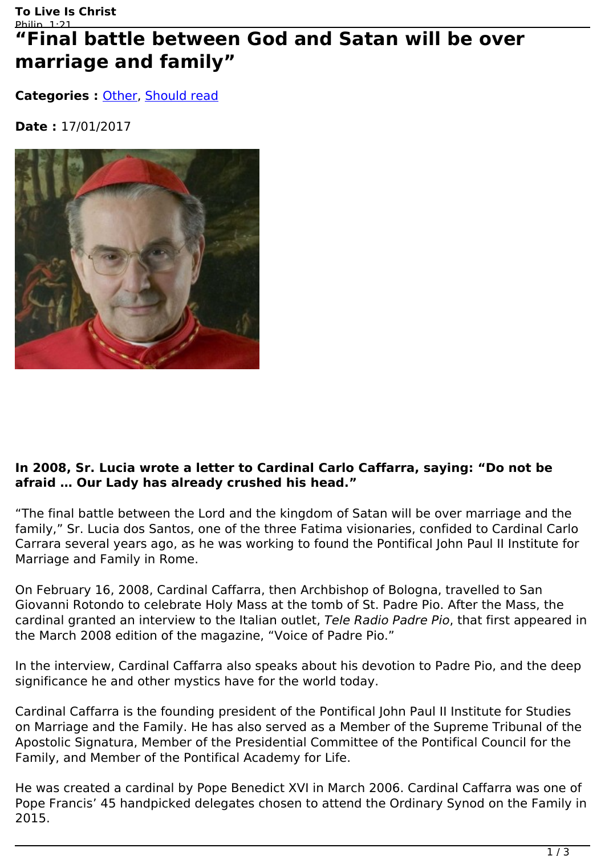# "Final battle between God and Satan will be over **marriage and family"**

**Categories : [Other](http://live-christ.com/en/category/other), [Should read](http://live-christ.com/en/category/should-read)** 

**Date :** 17/01/2017



### **In 2008, Sr. Lucia wrote a letter to Cardinal Carlo Caffarra, saying: "Do not be afraid … Our Lady has already crushed his head."**

"The final battle between the Lord and the kingdom of Satan will be over marriage and the family," Sr. Lucia dos Santos, one of the three Fatima visionaries, confided to Cardinal Carlo Carrara several years ago, as he was working to found the Pontifical John Paul II Institute for Marriage and Family in Rome.

On February 16, 2008, Cardinal Caffarra, then Archbishop of Bologna, travelled to San Giovanni Rotondo to celebrate Holy Mass at the tomb of St. Padre Pio. After the Mass, the cardinal granted an interview to the Italian outlet, *Tele Radio Padre Pio*, that first appeared in the March 2008 edition of the magazine, "Voice of Padre Pio."

In the interview, Cardinal Caffarra also speaks about his devotion to Padre Pio, and the deep significance he and other mystics have for the world today.

Cardinal Caffarra is the founding president of the Pontifical John Paul II Institute for Studies on Marriage and the Family. He has also served as a Member of the Supreme Tribunal of the Apostolic Signatura, Member of the Presidential Committee of the Pontifical Council for the Family, and Member of the Pontifical Academy for Life.

He was created a cardinal by Pope Benedict XVI in March 2006. Cardinal Caffarra was one of Pope Francis' 45 handpicked delegates chosen to attend the Ordinary Synod on the Family in 2015.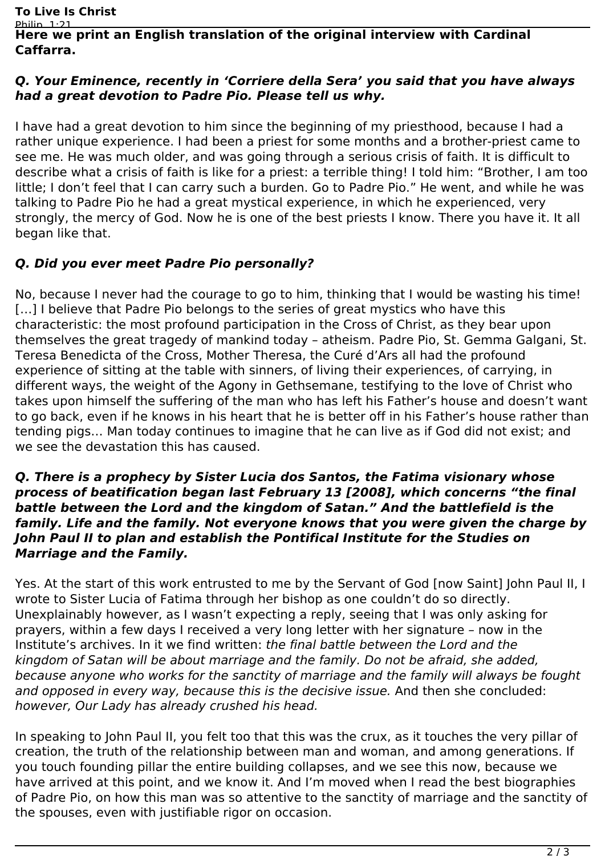#### Philin 1:21 **Here we print an English translation of the original interview with Cardinal Caffarra.**

#### *Q. Your Eminence, recently in 'Corriere della Sera' you said that you have always had a great devotion to Padre Pio. Please tell us why.*

I have had a great devotion to him since the beginning of my priesthood, because I had a rather unique experience. I had been a priest for some months and a brother-priest came to see me. He was much older, and was going through a serious crisis of faith. It is difficult to describe what a crisis of faith is like for a priest: a terrible thing! I told him: "Brother, I am too little; I don't feel that I can carry such a burden. Go to Padre Pio." He went, and while he was talking to Padre Pio he had a great mystical experience, in which he experienced, very strongly, the mercy of God. Now he is one of the best priests I know. There you have it. It all began like that.

## *Q. Did you ever meet Padre Pio personally?*

No, because I never had the courage to go to him, thinking that I would be wasting his time! [...] I believe that Padre Pio belongs to the series of great mystics who have this characteristic: the most profound participation in the Cross of Christ, as they bear upon themselves the great tragedy of mankind today – atheism. Padre Pio, St. Gemma Galgani, St. Teresa Benedicta of the Cross, Mother Theresa, the Curé d'Ars all had the profound experience of sitting at the table with sinners, of living their experiences, of carrying, in different ways, the weight of the Agony in Gethsemane, testifying to the love of Christ who takes upon himself the suffering of the man who has left his Father's house and doesn't want to go back, even if he knows in his heart that he is better off in his Father's house rather than tending pigs… Man today continues to imagine that he can live as if God did not exist; and we see the devastation this has caused.

#### *Q. There is a prophecy by Sister Lucia dos Santos, the Fatima visionary whose process of beatification began last February 13 [2008], which concerns "the final battle between the Lord and the kingdom of Satan." And the battlefield is the family. Life and the family. Not everyone knows that you were given the charge by John Paul II to plan and establish the Pontifical Institute for the Studies on Marriage and the Family.*

Yes. At the start of this work entrusted to me by the Servant of God [now Saint] John Paul II, I wrote to Sister Lucia of Fatima through her bishop as one couldn't do so directly. Unexplainably however, as I wasn't expecting a reply, seeing that I was only asking for prayers, within a few days I received a very long letter with her signature – now in the Institute's archives. In it we find written: *the final battle between the Lord and the kingdom of Satan will be about marriage and the family. Do not be afraid, she added, because anyone who works for the sanctity of marriage and the family will always be fought and opposed in every way, because this is the decisive issue.* And then she concluded: *however, Our Lady has already crushed his head.*

In speaking to John Paul II, you felt too that this was the crux, as it touches the very pillar of creation, the truth of the relationship between man and woman, and among generations. If you touch founding pillar the entire building collapses, and we see this now, because we have arrived at this point, and we know it. And I'm moved when I read the best biographies of Padre Pio, on how this man was so attentive to the sanctity of marriage and the sanctity of the spouses, even with justifiable rigor on occasion.